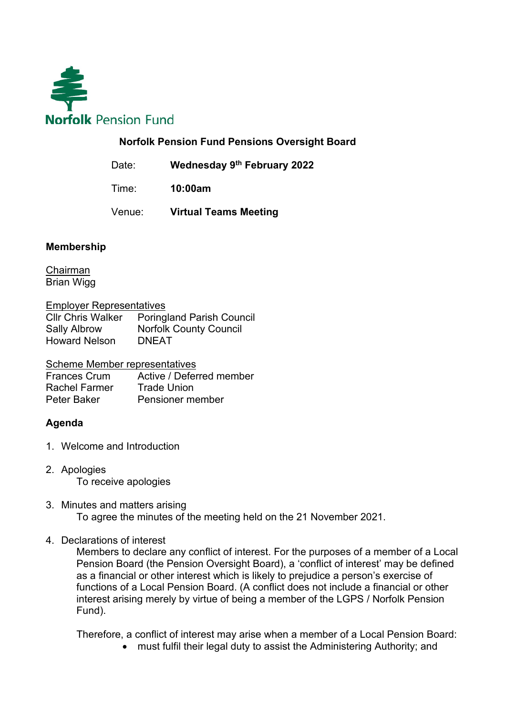

## **Norfolk Pension Fund Pensions Oversight Board**

Date: **Wednesday 9th February 2022**

Time: **10:00am** 

Venue: **Virtual Teams Meeting**

## **Membership**

Chairman Brian Wigg

Employer Representatives

Cllr Chris Walker Poringland Parish Council Sally Albrow Norfolk County Council Howard Nelson DNEAT

Scheme Member representatives

Frances Crum Active / Deferred member<br>
Rachel Farmer Trade Union Rachel Farmer Peter Baker Pensioner member

## **Agenda**

- 1. Welcome and Introduction
- 2. Apologies To receive apologies
- 3. Minutes and matters arising To agree the minutes of the meeting held on the 21 November 2021.
- 4. Declarations of interest

Members to declare any conflict of interest. For the purposes of a member of a Local Pension Board (the Pension Oversight Board), a 'conflict of interest' may be defined as a financial or other interest which is likely to prejudice a person's exercise of functions of a Local Pension Board. (A conflict does not include a financial or other interest arising merely by virtue of being a member of the LGPS / Norfolk Pension Fund).

Therefore, a conflict of interest may arise when a member of a Local Pension Board:

• must fulfil their legal duty to assist the Administering Authority: and